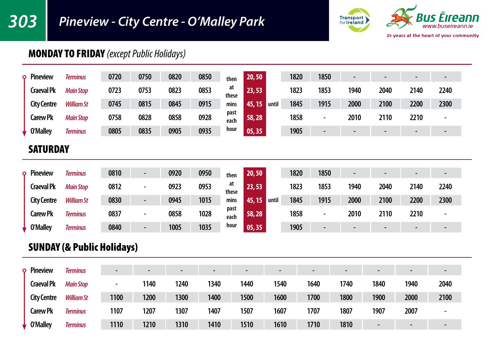## *303 Pineview - City Centre - O'Malley Park*



### MONDAY TO FRIDAY *(except Public Holidays)*

| Pineview<br>٥      | <b>Terminus</b>   | 0720 | 0750 | 0820 | 0850 | then         | 20, 50          | 1820 | 1850                     | $\overline{\phantom{0}}$ |      |                          |      |
|--------------------|-------------------|------|------|------|------|--------------|-----------------|------|--------------------------|--------------------------|------|--------------------------|------|
| <b>Craeval Pk</b>  | <b>Main Stop</b>  | 0723 | 0753 | 0823 | 0853 | at<br>these  | 23,53           | 1823 | 1853                     | 1940                     | 2040 | 2140                     | 2240 |
| <b>City Centre</b> | <b>William St</b> | 0745 | 0815 | 0845 | 0915 | mins         | 45, 15<br>until | 1845 | 1915                     | 2000                     | 2100 | 2200                     | 2300 |
| <b>Carew Pk</b>    | <b>Main Stop</b>  | 0758 | 0828 | 0858 | 0928 | past<br>each | 58,28           | 1858 | $\overline{\phantom{0}}$ | 2010                     | 2110 | 2210                     |      |
| O'Mallev           | <b>Terminus</b>   | 0805 | 0835 | 0905 | 0935 | hour         | 05, 35          | 1905 | $\sim$                   | -                        | -    | $\overline{\phantom{0}}$ |      |

#### **SATURDAY**

| Pineview<br>Ō      | <b>Terminus</b>   | 0810 | $\overline{\phantom{0}}$ | 0920 | 0950 | then         | 20, 50          | 1820 | 1850                     |      | $\overline{\phantom{0}}$ | -    | $\blacksquare$           |
|--------------------|-------------------|------|--------------------------|------|------|--------------|-----------------|------|--------------------------|------|--------------------------|------|--------------------------|
| <b>Craeval Pk</b>  | <b>Main Stop</b>  | 0812 | -                        | 0923 | 0953 | at<br>these  | 23.53           | 1823 | 1853                     | 1940 | 2040                     | 2140 | 2240                     |
| <b>City Centre</b> | <b>William St</b> | 0830 | ۰.                       | 0945 | 1015 | mins         | 45, 15<br>until | 1845 | 1915                     | 2000 | 2100                     | 2200 | 2300                     |
| <b>Carew Pk</b>    | <b>Terminus</b>   | 0837 | -                        | 0858 | 1028 | past<br>each | 58,28           | 1858 | $\overline{\phantom{0}}$ | 2010 | 2110                     | 2210 | $\overline{\phantom{a}}$ |
| <b>O'Malley</b>    | <b>Terminus</b>   | 0840 | -                        | 1005 | 1035 | hour         | 05, 35          | 1905 | -                        |      | $\blacksquare$           | -    | -                        |

#### SUNDAY (& Public Holidays)

| <b>Pineview</b><br>٥ | <b>Terminus</b>   |      | $\overline{\phantom{0}}$ | -    | $\overline{\phantom{0}}$ |      | $\overline{\phantom{0}}$ | $\overline{\phantom{0}}$ | $\overline{\phantom{0}}$ |      | -                        | -    |
|----------------------|-------------------|------|--------------------------|------|--------------------------|------|--------------------------|--------------------------|--------------------------|------|--------------------------|------|
| <b>Craeval Pk</b>    | <b>Main Stop</b>  |      | 1140                     | 1240 | 1340                     | 1440 | 1540                     | 1640                     | 1740                     | 1840 | 1940                     | 2040 |
| <b>City Centre</b>   | <b>William St</b> | 1100 | 1200                     | 1300 | 1400                     | 1500 | 1600                     | 1700                     | 1800                     | 1900 | 2000                     | 2100 |
| <b>Carew Pk</b>      | <b>Terminus</b>   | 1107 | 1207                     | 1307 | 1407                     | 1507 | 1607                     | 1707                     | 1807                     | 1907 | 2007                     |      |
| O'Malley             | <b>Terminus</b>   | 1110 | 1210                     | 1310 | 1410                     | 1510 | 1610                     | 1710                     | 1810                     |      | $\overline{\phantom{a}}$ | -    |